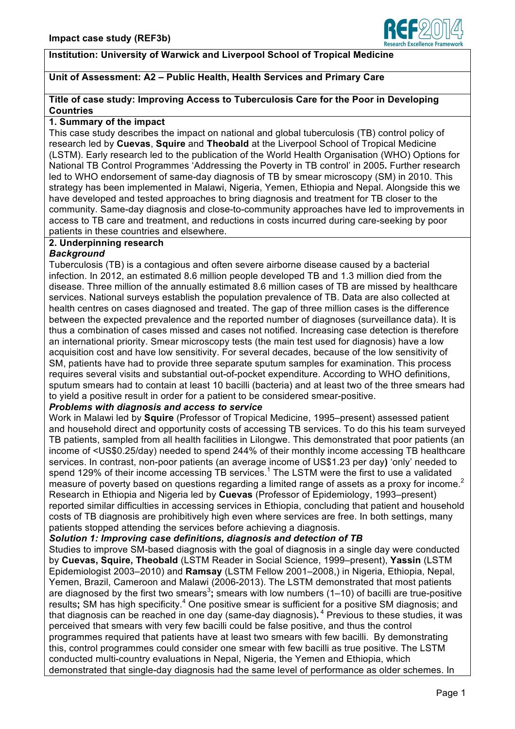

# **Institution: University of Warwick and Liverpool School of Tropical Medicine**

# **Unit of Assessment: A2 – Public Health, Health Services and Primary Care**

#### **Title of case study: Improving Access to Tuberculosis Care for the Poor in Developing Countries**

#### **1. Summary of the impact**

This case study describes the impact on national and global tuberculosis (TB) control policy of research led by **Cuevas**, **Squire** and **Theobald** at the Liverpool School of Tropical Medicine (LSTM). Early research led to the publication of the World Health Organisation (WHO) Options for National TB Control Programmes 'Addressing the Poverty in TB control' in 2005**.** Further research led to WHO endorsement of same-day diagnosis of TB by smear microscopy (SM) in 2010. This strategy has been implemented in Malawi, Nigeria, Yemen, Ethiopia and Nepal. Alongside this we have developed and tested approaches to bring diagnosis and treatment for TB closer to the community. Same-day diagnosis and close-to-community approaches have led to improvements in access to TB care and treatment, and reductions in costs incurred during care-seeking by poor patients in these countries and elsewhere.

## **2. Underpinning research**

## *Background*

Tuberculosis (TB) is a contagious and often severe airborne disease caused by a bacterial infection. In 2012, an estimated 8.6 million people developed TB and 1.3 million died from the disease. Three million of the annually estimated 8.6 million cases of TB are missed by healthcare services. National surveys establish the population prevalence of TB. Data are also collected at health centres on cases diagnosed and treated. The gap of three million cases is the difference between the expected prevalence and the reported number of diagnoses (surveillance data). It is thus a combination of cases missed and cases not notified. Increasing case detection is therefore an international priority. Smear microscopy tests (the main test used for diagnosis) have a low acquisition cost and have low sensitivity. For several decades, because of the low sensitivity of SM, patients have had to provide three separate sputum samples for examination. This process requires several visits and substantial out-of-pocket expenditure. According to WHO definitions, sputum smears had to contain at least 10 bacilli (bacteria) and at least two of the three smears had to yield a positive result in order for a patient to be considered smear-positive.

# *Problems with diagnosis and access to service*

Work in Malawi led by **Squire** (Professor of Tropical Medicine, 1995–present) assessed patient and household direct and opportunity costs of accessing TB services. To do this his team surveyed TB patients, sampled from all health facilities in Lilongwe. This demonstrated that poor patients (an income of <US\$0.25/day) needed to spend 244% of their monthly income accessing TB healthcare services. In contrast, non-poor patients (an average income of US\$1.23 per day**)** 'only' needed to spend 129% of their income accessing TB services.<sup>1</sup> The LSTM were the first to use a validated measure of poverty based on questions regarding a limited range of assets as a proxy for income.<sup>2</sup> Research in Ethiopia and Nigeria led by **Cuevas** (Professor of Epidemiology, 1993–present) reported similar difficulties in accessing services in Ethiopia, concluding that patient and household costs of TB diagnosis are prohibitively high even where services are free. In both settings, many patients stopped attending the services before achieving a diagnosis.

#### *Solution 1: Improving case definitions, diagnosis and detection of TB*

Studies to improve SM-based diagnosis with the goal of diagnosis in a single day were conducted by **Cuevas, Squire, Theobald** (LSTM Reader in Social Science, 1999–present), **Yassin** (LSTM Epidemiologist 2003–2010) and **Ramsay** (LSTM Fellow 2001–2008,) in Nigeria, Ethiopia, Nepal, Yemen, Brazil, Cameroon and Malawi (2006-2013). The LSTM demonstrated that most patients are diagnosed by the first two smears<sup>3</sup>; smears with low numbers (1–10) of bacilli are true-positive results; SM has high specificity.<sup>4</sup> One positive smear is sufficient for a positive SM diagnosis; and that diagnosis can be reached in one day (same-day diagnosis)**.** <sup>4</sup> Previous to these studies, it was perceived that smears with very few bacilli could be false positive, and thus the control programmes required that patients have at least two smears with few bacilli. By demonstrating this, control programmes could consider one smear with few bacilli as true positive. The LSTM conducted multi-country evaluations in Nepal, Nigeria, the Yemen and Ethiopia, which demonstrated that single-day diagnosis had the same level of performance as older schemes. In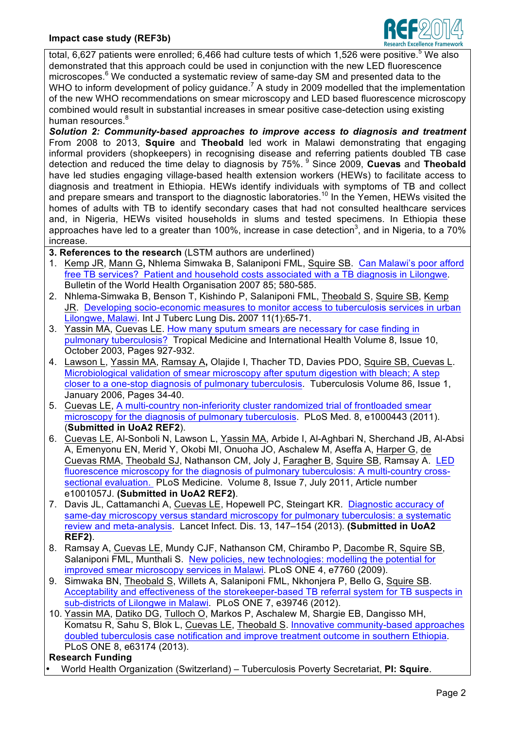# **Impact case study (REF3b)**



total, 6,627 patients were enrolled; 6,466 had culture tests of which 1,526 were positive.<sup>5</sup> We also demonstrated that this approach could be used in conjunction with the new LED fluorescence microscopes.<sup>6</sup> We conducted a systematic review of same-day SM and presented data to the WHO to inform development of policy guidance.<sup>7</sup> A study in 2009 modelled that the implementation of the new WHO recommendations on smear microscopy and LED based fluorescence microscopy combined would result in substantial increases in smear positive case-detection using existing human resources.<sup>8</sup>

*Solution 2: Community-based approaches to improve access to diagnosis and treatment* From 2008 to 2013, **Squire** and **Theobald** led work in Malawi demonstrating that engaging informal providers (shopkeepers) in recognising disease and referring patients doubled TB case detection and reduced the time delay to diagnosis by 75%. <sup>9</sup> Since 2009, **Cuevas** and **Theobald** have led studies engaging village-based health extension workers (HEWs) to facilitate access to diagnosis and treatment in Ethiopia. HEWs identify individuals with symptoms of TB and collect and prepare smears and transport to the diagnostic laboratories.<sup>10</sup> In the Yemen, HEWs visited the homes of adults with TB to identify secondary cases that had not consulted healthcare services and, in Nigeria, HEWs visited households in slums and tested specimens. In Ethiopia these approaches have led to a greater than 100%, increase in case detection<sup>3</sup>, and in Nigeria, to a 70% increase.

**3. References to the research** (LSTM authors are underlined)

- 1. Kemp JR, Mann G**,** Nhlema Simwaka B, Salaniponi FML, Squire SB. Can Malawi's poor afford free TB services? Patient and household costs associated with a TB diagnosis in Lilongwe. Bulletin of the World Health Organisation 2007 85; 580-585.
- 2. Nhlema-Simwaka B, Benson T, Kishindo P, Salaniponi FML, Theobald S, Squire SB, Kemp JR. Developing socio-economic measures to monitor access to tuberculosis services in urban Lilongwe, Malawi. Int J Tuberc Lung Dis*.* 2007 11(1):65-71.
- 3. Yassin MA, Cuevas LE. How many sputum smears are necessary for case finding in pulmonary tuberculosis? Tropical Medicine and International Health Volume 8, Issue 10, October 2003, Pages 927-932.
- 4. Lawson L, Yassin MA, Ramsay A**,** Olajide I, Thacher TD, Davies PDO, Squire SB, Cuevas L. Microbiological validation of smear microscopy after sputum digestion with bleach; A step closer to a one-stop diagnosis of pulmonary tuberculosis. Tuberculosis Volume 86, Issue 1, January 2006, Pages 34-40.
- 5. Cuevas LE, A multi-country non-inferiority cluster randomized trial of frontloaded smear microscopy for the diagnosis of pulmonary tuberculosis. PLoS Med. 8, e1000443 (2011). (**Submitted in UoA2 REF2**).
- 6. Cuevas LE, Al-Sonboli N, Lawson L, Yassin MA, Arbide I, Al-Aghbari N, Sherchand JB, Al-Absi A, Emenyonu EN, Merid Y, Okobi MI, Onuoha JO, Aschalew M, Aseffa A, Harper G, de Cuevas RMA, Theobald SJ, Nathanson CM, Joly J, Faragher B, Squire SB, Ramsay A. LED fluorescence microscopy for the diagnosis of pulmonary tuberculosis: A multi-country crosssectional evaluation. PLoS Medicine. Volume 8, Issue 7, July 2011, Article number e1001057J. **(Submitted in UoA2 REF2)**.
- 7. Davis JL, Cattamanchi A, Cuevas LE, Hopewell PC, Steingart KR. Diagnostic accuracy of same-day microscopy versus standard microscopy for pulmonary tuberculosis: a systematic review and meta-analysis. Lancet Infect. Dis. 13, 147–154 (2013). **(Submitted in UoA2 REF2)**.
- 8. Ramsay A, Cuevas LE, Mundy CJF, Nathanson CM, Chirambo P, Dacombe R, Squire SB, Salaniponi FML, Munthali S.New policies, new technologies: modelling the potential for improved smear microscopy services in Malawi. PLoS ONE 4, e7760 (2009).
- 9. Simwaka BN, Theobald S, Willets A, Salaniponi FML, Nkhonjera P, Bello G, Squire SB. Acceptability and effectiveness of the storekeeper-based TB referral system for TB suspects in sub-districts of Lilongwe in Malawi. PLoS ONE 7, e39746 (2012).
- 10. Yassin MA, Datiko DG, Tulloch O, Markos P, Aschalew M, Shargie EB, Dangisso MH, Komatsu R, Sahu S, Blok L, Cuevas LE, Theobald S. Innovative community-based approaches doubled tuberculosis case notification and improve treatment outcome in southern Ethiopia. PLoS ONE 8, e63174 (2013).

## **Research Funding**

• World Health Organization (Switzerland) – Tuberculosis Poverty Secretariat, **PI: Squire**.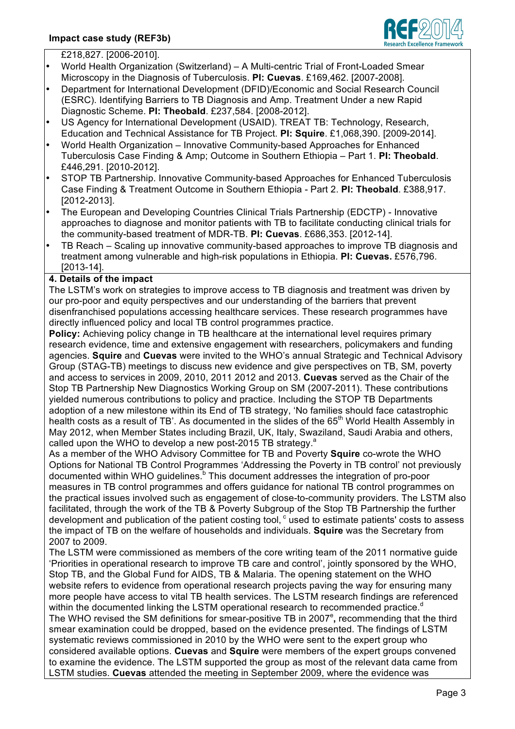

- £218,827. [2006-2010].
- World Health Organization (Switzerland) A Multi-centric Trial of Front-Loaded Smear Microscopy in the Diagnosis of Tuberculosis. **PI: Cuevas**. £169,462. [2007-2008].
- Department for International Development (DFID)/Economic and Social Research Council (ESRC). Identifying Barriers to TB Diagnosis and Amp. Treatment Under a new Rapid Diagnostic Scheme. **PI: Theobald**. £237,584. [2008-2012].
- US Agency for International Development (USAID). TREAT TB: Technology, Research, Education and Technical Assistance for TB Project. **PI: Squire**. £1,068,390. [2009-2014].
- World Health Organization Innovative Community-based Approaches for Enhanced Tuberculosis Case Finding & Amp; Outcome in Southern Ethiopia – Part 1. **PI: Theobald**. £446,291. [2010-2012].
- STOP TB Partnership. Innovative Community-based Approaches for Enhanced Tuberculosis Case Finding & Treatment Outcome in Southern Ethiopia - Part 2. **PI: Theobald**. £388,917. [2012-2013].
- The European and Developing Countries Clinical Trials Partnership (EDCTP) Innovative approaches to diagnose and monitor patients with TB to facilitate conducting clinical trials for the community-based treatment of MDR-TB. **PI: Cuevas**. £686,353. [2012-14].
- TB Reach Scaling up innovative community-based approaches to improve TB diagnosis and treatment among vulnerable and high-risk populations in Ethiopia. **PI: Cuevas.** £576,796. [2013-14].

# **4. Details of the impact**

The LSTM's work on strategies to improve access to TB diagnosis and treatment was driven by our pro-poor and equity perspectives and our understanding of the barriers that prevent disenfranchised populations accessing healthcare services. These research programmes have directly influenced policy and local TB control programmes practice.

**Policy:** Achieving policy change in TB healthcare at the international level requires primary research evidence, time and extensive engagement with researchers, policymakers and funding agencies. **Squire** and **Cuevas** were invited to the WHO's annual Strategic and Technical Advisory Group (STAG-TB) meetings to discuss new evidence and give perspectives on TB, SM, poverty and access to services in 2009, 2010, 2011 2012 and 2013. **Cuevas** served as the Chair of the Stop TB Partnership New Diagnostics Working Group on SM (2007-2011). These contributions yielded numerous contributions to policy and practice. Including the STOP TB Departments adoption of a new milestone within its End of TB strategy, 'No families should face catastrophic health costs as a result of TB'. As documented in the slides of the 65<sup>th</sup> World Health Assembly in May 2012, when Member States including Brazil, UK, Italy, Swaziland, Saudi Arabia and others, called upon the WHO to develop a new post-2015 TB strategy. $a$ 

As a member of the WHO Advisory Committee for TB and Poverty **Squire** co-wrote the WHO Options for National TB Control Programmes 'Addressing the Poverty in TB control' not previously documented within WHO guidelines.<sup>b</sup> This document addresses the integration of pro-poor measures in TB control programmes and offers guidance for national TB control programmes on the practical issues involved such as engagement of close-to-community providers. The LSTM also facilitated, through the work of the TB & Poverty Subgroup of the Stop TB Partnership the further development and publication of the patient costing tool,  $\textdegree$  used to estimate patients' costs to assess the impact of TB on the welfare of households and individuals. **Squire** was the Secretary from 2007 to 2009.

The LSTM were commissioned as members of the core writing team of the 2011 normative guide 'Priorities in operational research to improve TB care and control', jointly sponsored by the WHO, Stop TB, and the Global Fund for AIDS, TB & Malaria. The opening statement on the WHO website refers to evidence from operational research projects paving the way for ensuring many more people have access to vital TB health services. The LSTM research findings are referenced within the documented linking the LSTM operational research to recommended practice.<sup>d</sup> The WHO revised the SM definitions for smear-positive TB in 2007<sup>e</sup>, recommending that the third smear examination could be dropped, based on the evidence presented. The findings of LSTM systematic reviews commissioned in 2010 by the WHO were sent to the expert group who considered available options. **Cuevas** and **Squire** were members of the expert groups convened to examine the evidence. The LSTM supported the group as most of the relevant data came from LSTM studies. **Cuevas** attended the meeting in September 2009, where the evidence was